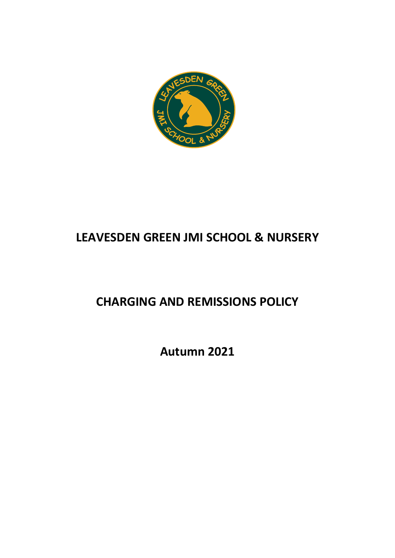

# **LEAVESDEN GREEN JMI SCHOOL & NURSERY**

# **CHARGING AND REMISSIONS POLICY**

**Autumn 2021**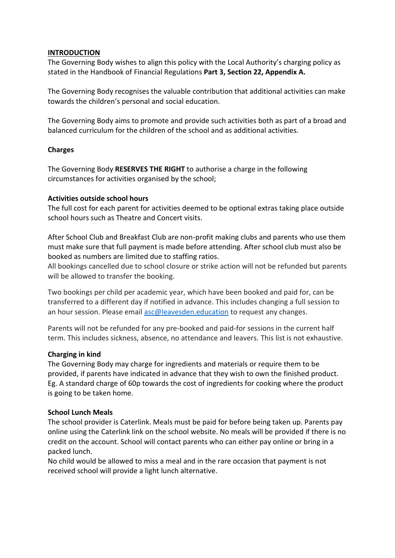## **INTRODUCTION**

The Governing Body wishes to align this policy with the Local Authority's charging policy as stated in the Handbook of Financial Regulations **Part 3, Section 22, Appendix A.** 

The Governing Body recognises the valuable contribution that additional activities can make towards the children's personal and social education.

The Governing Body aims to promote and provide such activities both as part of a broad and balanced curriculum for the children of the school and as additional activities.

## **Charges**

The Governing Body **RESERVES THE RIGHT** to authorise a charge in the following circumstances for activities organised by the school;

## **Activities outside school hours**

The full cost for each parent for activities deemed to be optional extras taking place outside school hours such as Theatre and Concert visits.

After School Club and Breakfast Club are non-profit making clubs and parents who use them must make sure that full payment is made before attending. After school club must also be booked as numbers are limited due to staffing ratios.

All bookings cancelled due to school closure or strike action will not be refunded but parents will be allowed to transfer the booking.

Two bookings per child per academic year, which have been booked and paid for, can be transferred to a different day if notified in advance. This includes changing a full session to an hour session. Please email [asc@leavesden.education](mailto:asc@leavesden.education) to request any changes.

Parents will not be refunded for any pre-booked and paid-for sessions in the current half term. This includes sickness, absence, no attendance and leavers. This list is not exhaustive.

# **Charging in kind**

The Governing Body may charge for ingredients and materials or require them to be provided, if parents have indicated in advance that they wish to own the finished product. Eg. A standard charge of 60p towards the cost of ingredients for cooking where the product is going to be taken home.

#### **School Lunch Meals**

The school provider is Caterlink. Meals must be paid for before being taken up. Parents pay online using the Caterlink link on the school website. No meals will be provided if there is no credit on the account. School will contact parents who can either pay online or bring in a packed lunch.

No child would be allowed to miss a meal and in the rare occasion that payment is not received school will provide a light lunch alternative.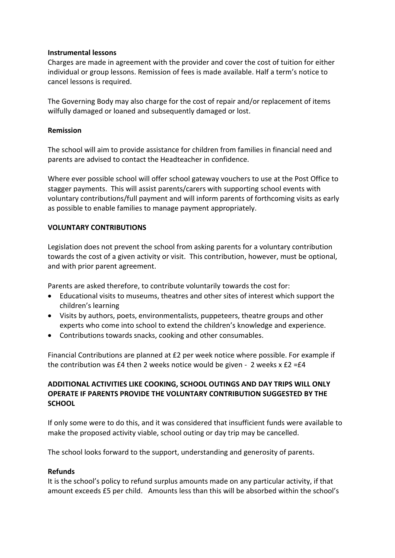#### **Instrumental lessons**

Charges are made in agreement with the provider and cover the cost of tuition for either individual or group lessons. Remission of fees is made available. Half a term's notice to cancel lessons is required.

The Governing Body may also charge for the cost of repair and/or replacement of items wilfully damaged or loaned and subsequently damaged or lost.

#### **Remission**

The school will aim to provide assistance for children from families in financial need and parents are advised to contact the Headteacher in confidence.

Where ever possible school will offer school gateway vouchers to use at the Post Office to stagger payments. This will assist parents/carers with supporting school events with voluntary contributions/full payment and will inform parents of forthcoming visits as early as possible to enable families to manage payment appropriately.

#### **VOLUNTARY CONTRIBUTIONS**

Legislation does not prevent the school from asking parents for a voluntary contribution towards the cost of a given activity or visit. This contribution, however, must be optional, and with prior parent agreement.

Parents are asked therefore, to contribute voluntarily towards the cost for:

- Educational visits to museums, theatres and other sites of interest which support the children's learning
- Visits by authors, poets, environmentalists, puppeteers, theatre groups and other experts who come into school to extend the children's knowledge and experience.
- Contributions towards snacks, cooking and other consumables.

Financial Contributions are planned at £2 per week notice where possible. For example if the contribution was £4 then 2 weeks notice would be given - 2 weeks x  $£2 = £4$ 

# **ADDITIONAL ACTIVITIES LIKE COOKING, SCHOOL OUTINGS AND DAY TRIPS WILL ONLY OPERATE IF PARENTS PROVIDE THE VOLUNTARY CONTRIBUTION SUGGESTED BY THE SCHOOL**

If only some were to do this, and it was considered that insufficient funds were available to make the proposed activity viable, school outing or day trip may be cancelled.

The school looks forward to the support, understanding and generosity of parents.

#### **Refunds**

It is the school's policy to refund surplus amounts made on any particular activity, if that amount exceeds £5 per child. Amounts less than this will be absorbed within the school's